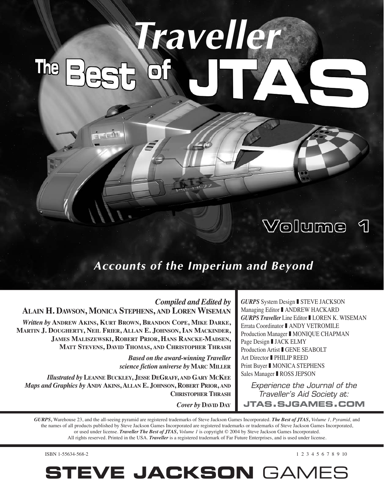## **Traveller The**  $\blacksquare$

## Volume

91

## **Accounts of the Imperium and Beyond**

*Compiled and Edited by*  **ALAIN H. DAWSON, MONICA STEPHENS, AND LOREN WISEMAN**

*Written by* **ANDREW AKINS, KURT BROWN, BRANDON COPE, MIKE DARKE, MARTIN J. DOUGHERTY, NEIL FRIER, ALLAN E. JOHNSON, IAN MACKINDER, JAMES MALISZEWSKI, ROBERT PRIOR, HANS RANCKE-MADSEN, MATT STEVENS, DAVID THOMAS, AND CHRISTOPHER THRASH**

> *Based on the award-winning Traveller science fiction universe by* **MARC MILLER**

*Illustrated by* **LEANNE BUCKLEY, JESSE DEGRAFF, AND GARY MCKEE** *Maps and Graphics by* **ANDY AKINS, ALLAN E. JOHNSON, ROBERT PRIOR, AND CHRISTOPHER THRASH**

*Cover by* **DAVID DAY**

*GURPS* System Design ❚ STEVE JACKSON Managing Editor ❚ ANDREW HACKARD *GURPS Traveller* Line Editor ❚ LOREN K. WISEMAN Errata Coordinator ❚ ANDY VETROMILE Production Manager ❚ MONIQUE CHAPMAN Page Design ∎ JACK ELMY Production Artist ❚ GENE SEABOLT Art Director ❚ PHILIP REED Print Buyer ❚ MONICA STEPHENS Sales Manager ❚ ROSS JEPSON

Experience the Journal of the Traveller's Aid Society at:

**JTAS.SJGAMES.COM**

*GURPS,* Warehouse 23, and the all-seeing pyramid are registered trademarks of Steve Jackson Games Incorporated. *The Best of JTAS, Volume 1, Pyramid,* and the names of all products published by Steve Jackson Games Incorporated are registered trademarks or trademarks of Steve Jackson Games Incorporated, or used under license. *Traveller The Best of JTAS, Volume 1* is copyright © 2004 by Steve Jackson Games Incorporated. All rights reserved. Printed in the USA. *Traveller* is a registered trademark of Far Future Enterprises, and is used under license.

ISBN 1-55634-568-2 1 2 3 4 5 6 7 8 9 10

**STEVE JACKSON** GAMES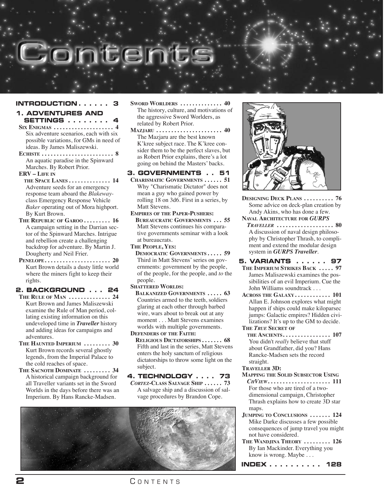### **INTRODUCTION . . . . . . 3**

#### **1. ADVENTURES AND SETTINGS . . . . . . . . 4**

- **SIX ENIGMAS . . . . . . . . . . . . . . . . . . . . 4** Six adventure scenarios, each with six possible variations, for GMs in need of ideas. By James Maliszewski.
- **ECHISTE . . . . . . . . . . . . . . . . . . . . . . . . 8** An aquatic paradise in the Spinward Marches. By Robert Prior.

#### **ERV – LIFE IN**

**THE SPACE LANES . . . . . . . . . . . . . . 14** Adventure seeds for an emergency response team aboard the *Blakeway*class Emergency Response Vehicle *Baker* operating out of Mora highport. By Kurt Brown.

- **THE REPUBLIC OF GAROO . . . . . . . . . 16** A campaign setting in the Darrian sector of the Spinward Marches. Intrigue and rebellion create a challenging backdrop for adventure. By Martin J. Dougherty and Neil Frier.
- **PENELOPE. . . . . . . . . . . . . . . . . . . . . . 20** Kurt Brown details a dusty little world where the miners fight to keep their rights.

### **2. BACKGROUND . . . 24**

- **THE RULE OF MAN . . . . . . . . . . . . . . 24** Kurt Brown and James Maliszewski examine the Rule of Man period, collating existing information on this undeveloped time in *Traveller* history and adding ideas for campaigns and adventures.
- **THE HAUNTED IMPERIUM . . . . . . . . . 30** Kurt Brown records several ghostly legends, from the Imperial Palace to the cold reaches of space.
- **THE SACNOTH DOMINATE . . . . . . . . . 34** A historical campaign background for all Traveller variants set in the Sword Worlds in the days before there was an Imperium. By Hans Rancke-Madsen.
- **SWORD WORLDERS . . . . . . . . . . . . . . 40** The history, culture, and motivations of the aggressive Sword Worlders, as related by Robert Prior.
- **MAZJARU . . . . . . . . . . . . . . . . . . . . . . 40** The Mazjaru are the best known K'kree subject race. The K'kree consider them to be the perfect slaves, but as Robert Prior explains, there's a lot going on behind the Masters' backs.

#### **3. GOVERNMENTS . . 51**

- **CHARISMATIC GOVERNMENTS . . . . . . 51** Why "Charismatic Dictator" does not mean a guy who gained power by rolling 18 on 3d6. First in a series, by Matt Stevens.
- **EMPIRES OF THE PAPER-PUSHERS: BUREAUCRATIC GOVERNMENTS . . . 55** Matt Stevens continues his comparative governments seminar with a look at bureaucrats.
- **THE PEOPLE, YES: DEMOCRATIC GOVERNMENTS . . . . . 59** Third in Matt Stevens' series on governments: government by the people, of the people, for the people, and *to* the people.
- **SHATTERED WORLDS:**
- **BALKANIZED GOVERNMENTS . . . . . 63** Countries armed to the teeth, soldiers glaring at each other through barbed wire, wars about to break out at any moment . . . Matt Stevens examines worlds with multiple governments. **DEFENDERS OF THE FAITH:**
- **RELIGIOUS DICTATORSHIPS . . . . . . . 68** Fifth and last in the series, Matt Stevens enters the holy sanctum of religious dictatorships to throw some light on the subject.
- **4. TECHNOLOGY . . . . 73** *CORTEZ-***CLASS SALVAGE SHIP . . . . . . 73** A salvage ship and a discussion of salvage procedures by Brandon Cope.





- **DESIGNING DECK PLANS . . . . . . . . . . 76** Some advice on deck-plan creation by Andy Akins, who has done a few. **NAVAL ARCHITECTURE FOR** *GURPS*
- *TRAVELLER* **. . . . . . . . . . . . . . . . . . . 80** A discussion of naval design philosophy by Christopher Thrash, to compliment and extend the modular design system in *GURPS Traveller*.
- **5. VARIANTS . . . . . . 97 THE IMPERIUM STRIKES BACK . . . . . 97** James Maliszewski examines the possibilities of an evil Imperium. Cue the John Williams soundtrack . . .
- **ACROSS THE GALAXY. . . . . . . . . . . . 101** Allan E. Johnson explores what might happen if ships could make kiloparsec jumps: Galactic empires? Hidden civilizations? It's up to the GM to decide. **THE** *TRUE* **SECRET OF**
- **THE ANCIENTS. . . . . . . . . . . . . . . . 107** You didn't *really* believe that stuff about Grandfather, did you? Hans Rancke-Madsen sets the record straight.

#### **TRAVELLER 3D:**

- **MAPPING THE SOLID SUBSECTOR USING** *CHVIEW***. . . . . . . . . . . . . . . . . . . . . 111** For those who are tired of a twodimensional campaign, Christopher Thrash explains how to create 3D star maps.
- **JUMPING TO CONCLUSIONS . . . . . . . 124** Mike Darke discusses a few possible consequences of jump travel you might not have considered.
- **THE WANDJINA THEORY . . . . . . . . . 126** By Ian Mackinder. Everything you know is wrong. Maybe . . .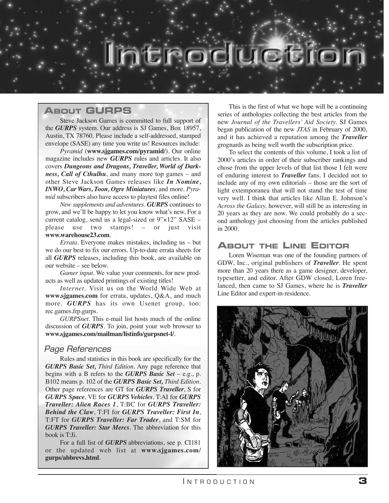# **AOC**

### **ABOUT GURPS**

Steve Jackson Games is committed to full support of the *GURPS* system. Our address is SJ Games, Box 18957, Austin, TX 78760. Please include a self-addressed, stamped envelope (SASE) any time you write us! Resources include:

*Pyramid* (**www.sjgames.com/pyramid/**). Our online magazine includes new *GURPS* rules and articles. It also covers *Dungeons and Dragons, Traveller, World of Darkness, Call of Cthulhu*, and many more top games – and other Steve Jackson Games releases like *In Nomine, INWO, Car Wars, Toon, Ogre Miniatures*, and more. *Pyramid* subscribers also have access to playtest files online!

*New supplements and adventures. GURPS* continues to grow, and we'll be happy to let you know what's new. For a current catalog, send us a legal-sized or 9"×12" SASE – please use two stamps! – or just visit **www.warehouse23.com**.

*Errata.* Everyone makes mistakes, including us – but we do our best to fix our errors. Up-to-date errata sheets for all *GURPS* releases, including this book, are available on our website – see below.

*Gamer input.* We value your comments, for new products as well as updated printings of existing titles!

*Internet.* Visit us on the World Wide Web at **www.sjgames.com** for errata, updates, Q&A, and much more. *GURPS* has its own Usenet group, too: rec.games.frp.gurps.

*GURPSnet.* This e-mail list hosts much of the online discussion of *GURPS*. To join, point your web browser to **www.sjgames.com/mailman/listinfo/gurpsnet-l/**.

### Page References

Rules and statistics in this book are specifically for the *GURPS Basic Set, Third Edition.* Any page reference that begins with a B refers to the *GURPS Basic Set* – e.g., p. B102 means p. 102 of the *GURPS Basic Set, Third Edition*. Other page references are GT for *GURPS Traveller*, S for *GURPS Space*, VE for *GURPS Vehicles*, T:AI for *GURPS Traveller: Alien Races 1*, T:BC for *GURPS Traveller: Behind the Claw*, T:FI for *GURPS Traveller: First In*, T:FT for *GURPS Traveller: Far Trader*, and T:SM for *GURPS Traveller: Star Mercs*. The abbreviation for this book is T:Ji.

For a full list of *GURPS* abbreviations, see p. CI181 or the updated web list at **www.sjgames.com/ gurps/abbrevs.html**.

This is the first of what we hope will be a continuing series of anthologies collecting the best articles from the new *Journal of the Travellers' Aid Society.* SJ Games began publication of the new *JTAS* in February of 2000, and it has achieved a reputation among the *Traveller* grognards as being well worth the subscription price.

To select the contents of this volume, I took a list of 2000's articles in order of their subscriber rankings and chose from the upper levels of that list those I felt were of enduring interest to *Traveller* fans. I decided not to include any of my own editorials – those are the sort of light extemporanea that will not stand the test of time very well. I think that articles like Allan E. Johnson's *Across the Galaxy,* however, will still be as interesting in 20 years as they are now. We could probably do a second anthology just choosing from the articles published in 2000.

### **ABOUT THE LINE EDITOR**

Loren Wiseman was one of the founding partners of GDW, Inc., original publishers of *Traveller*. He spent more than 20 years there as a game designer, developer, typesetter, and editor. After GDW closed, Loren freelanced, then came to SJ Games, where he is *Traveller* Line Editor and expert-in-residence.

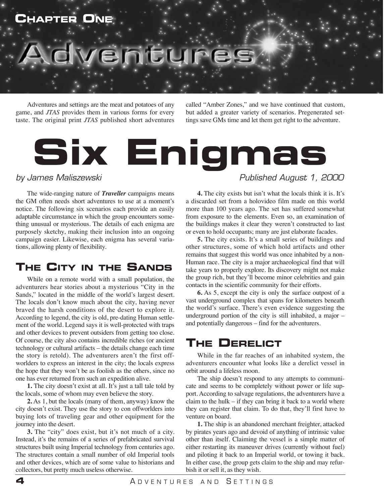## **CHAPTER ONE**

# *v*entur

Adventures and settings are the meat and potatoes of any game, and *JTAS* provides them in various forms for every taste. The original print *JTAS* published short adventures called "Amber Zones," and we have continued that custom, but added a greater variety of scenarios. Pregenerated settings save GMs time and let them get right to the adventure.

## **Six Enigmas** by James Maliszewski **Published August 1, 2000**

The wide-ranging nature of *Traveller* campaigns means the GM often needs short adventures to use at a moment's notice. The following six scenarios each provide an easily adaptable circumstance in which the group encounters something unusual or mysterious. The details of each enigma are purposely sketchy, making their inclusion into an ongoing campaign easier. Likewise, each enigma has several variations, allowing plenty of flexibility.

## **THE CITY IN THE SANDS**

While on a remote world with a small population, the adventurers hear stories about a mysterious "City in the Sands," located in the middle of the world's largest desert. The locals don't know much about the city, having never braved the harsh conditions of the desert to explore it. According to legend, the city is old, pre-dating Human settlement of the world. Legend says it is well-protected with traps and other devices to prevent outsiders from getting too close. Of course, the city also contains incredible riches (or ancient technology or cultural artifacts – the details change each time the story is retold). The adventurers aren't the first offworlders to express an interest in the city; the locals express the hope that they won't be as foolish as the others, since no one has ever returned from such an expedition alive.

**1.** The city doesn't exist at all. It's just a tall tale told by the locals, some of whom may even believe the story.

**2.** As 1, but the locals (many of them, anyway) know the city doesn't exist. They use the story to con offworlders into buying lots of traveling gear and other equipment for the journey into the desert.

**3.** The "city" does exist, but it's not much of a city. Instead, it's the remains of a series of prefabricated survival structures built using Imperial technology from centuries ago. The structures contain a small number of old Imperial tools and other devices, which are of some value to historians and collectors, but pretty much useless otherwise.

**4.** The city exists but isn't what the locals think it is. It's a discarded set from a holovideo film made on this world more than 100 years ago. The set has suffered somewhat from exposure to the elements. Even so, an examination of the buildings makes it clear they weren't constructed to last or even to hold occupants; many are just elaborate facades.

**5.** The city exists. It's a small series of buildings and other structures, some of which hold artifacts and other remains that suggest this world was once inhabited by a non-Human race. The city is a major archaeological find that will take years to properly explore. Its discovery might not make the group rich, but they'll become minor celebrities and gain contacts in the scientific community for their efforts.

**6.** As 5, except the city is only the surface outpost of a vast underground complex that spans for kilometers beneath the world's surface. There's even evidence suggesting the underground portion of the city is still inhabited, a major – and potentially dangerous – find for the adventurers.

### **THE DERELICT**

While in the far reaches of an inhabited system, the adventurers encounter what looks like a derelict vessel in orbit around a lifeless moon.

The ship doesn't respond to any attempts to communicate and seems to be completely without power or life support. According to salvage regulations, the adventurers have a claim to the hulk – if they can bring it back to a world where they can register that claim. To do that, they'll first have to venture on board.

**1.** The ship is an abandoned merchant freighter, attacked by pirates years ago and devoid of anything of intrinsic value other than itself. Claiming the vessel is a simple matter of either restarting its maneuver drives (currently without fuel) and piloting it back to an Imperial world, or towing it back. In either case, the group gets claim to the ship and may refurbish it or sell it, as they wish.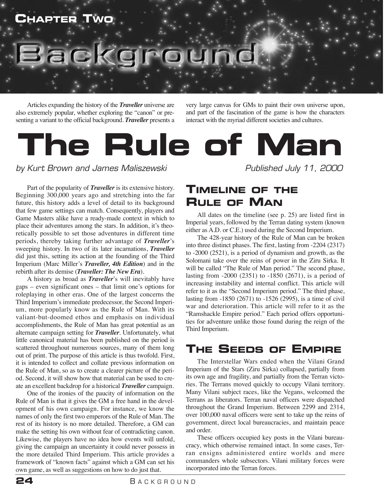## **APTER**

Articles expanding the history of the *Traveller* universe are also extremely popular, whether exploring the "canon" or presenting a variant to the official background. *Traveller* presents a very large canvas for GMs to paint their own universe upon, and part of the fascination of the game is how the characters interact with the myriad different societies and cultures.

# **The Rule of Man**

by Kurt Brown and James Maliszewski **Published July 11, 2000** 

Part of the popularity of *Traveller* is its extensive history. Beginning 300,000 years ago and stretching into the far future, this history adds a level of detail to its background that few game settings can match. Consequently, players and Game Masters alike have a ready-made context in which to place their adventures among the stars. In addition, it's theoretically possible to set those adventures in different time periods, thereby taking further advantage of *Traveller*'s sweeping history. In two of its later incarnations, *Traveller* did just this, setting its action at the founding of the Third Imperium (Marc Miller's *Traveller, 4th Edition*) and in the rebirth after its demise (*Traveller: The New Era*).

A history as broad as *Traveller*'s will inevitably have gaps – even significant ones – that limit one's options for roleplaying in other eras. One of the largest concerns the Third Imperium's immediate predecessor, the Second Imperium, more popularly know as the Rule of Man. With its valiant-but-doomed ethos and emphasis on individual accomplishments, the Rule of Man has great potential as an alternate campaign setting for *Traveller*. Unfortunately, what little canonical material has been published on the period is scattered throughout numerous sources, many of them long out of print. The purpose of this article is thus twofold. First, it is intended to collect and collate previous information on the Rule of Man, so as to create a clearer picture of the period. Second, it will show how that material can be used to create an excellent backdrop for a historical *Traveller* campaign.

One of the ironies of the paucity of information on the Rule of Man is that it gives the GM a free hand in the development of his own campaign. For instance, we know the names of only the first two emperors of the Rule of Man. The rest of its history is no more detailed. Therefore, a GM can make the setting his own without fear of contradicting canon. Likewise, the players have no idea how events will unfold, giving the campaign an uncertainty it could never possess in the more detailed Third Imperium. This article provides a framework of "known facts" against which a GM can set his own game, as well as suggestions on how to do just that.

## **TIMELINE OF THE RULE OF MAN**

All dates on the timeline (see p. 25) are listed first in Imperial years, followed by the Terran dating system (known either as A.D. or C.E.) used during the Second Imperium.

The 428-year history of the Rule of Man can be broken into three distinct phases. The first, lasting from -2204 (2317) to -2000 (2521), is a period of dynamism and growth, as the Solomani take over the reins of power in the Ziru Sirka. It will be called "The Rule of Man period." The second phase, lasting from -2000 (2351) to -1850 (2671), is a period of increasing instability and internal conflict. This article will refer to it as the "Second Imperium period." The third phase, lasting from -1850 (2671) to -1526 (2995), is a time of civil war and deterioration. This article will refer to it as the "Ramshackle Empire period." Each period offers opportunities for adventure unlike those found during the reign of the Third Imperium.

## **THE SEEDS OF EMPIRE**

The Interstellar Wars ended when the Vilani Grand Imperium of the Stars (Ziru Sirka) collapsed, partially from its own age and fragility, and partially from the Terran victories. The Terrans moved quickly to occupy Vilani territory. Many Vilani subject races, like the Vegans, welcomed the Terrans as liberators. Terran naval officers were dispatched throughout the Grand Imperium. Between 2299 and 2314, over 100,000 naval officers were sent to take up the reins of government, direct local bureaucracies, and maintain peace and order.

These officers occupied key posts in the Vilani bureaucracy, which otherwise remained intact. In some cases, Terran ensigns administered entire worlds and mere commanders whole subsectors. Vilani military forces were incorporated into the Terran forces.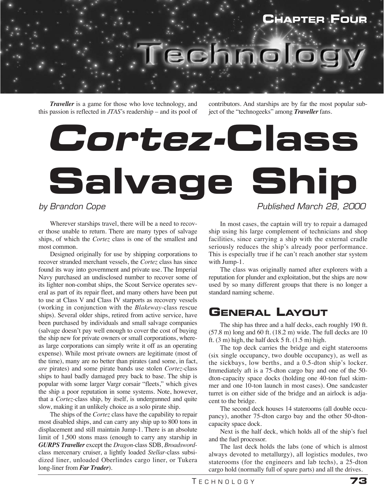

*Traveller* is a game for those who love technology, and this passion is reflected in *JTAS*'s readership – and its pool of

contributors. And starships are by far the most popular subject of the "technogeeks" among *Traveller* fans.

## **Cortez-Class Salvage Ship** by Brandon Cope **Published March 28, 2000**

Wherever starships travel, there will be a need to recover those unable to return. There are many types of salvage ships, of which the *Cortez* class is one of the smallest and most common.

Designed originally for use by shipping corporations to recover stranded merchant vessels, the *Cortez* class has since found its way into government and private use. The Imperial Navy purchased an undisclosed number to recover some of its lighter non-combat ships, the Scout Service operates several as part of its repair fleet, and many others have been put to use at Class V and Class IV starports as recovery vessels (working in conjunction with the *Blakeway-*class rescue ships). Several older ships, retired from active service, have been purchased by individuals and small salvage companies (salvage doesn't pay well enough to cover the cost of buying the ship new for private owners or small corporations, whereas large corporations can simply write it off as an operating expense). While most private owners are legitimate (most of the time), many are no better than pirates (and some, in fact, *are* pirates) and some pirate bands use stolen *Cortez-*class ships to haul badly damaged prey back to base. The ship is popular with some larger Vargr corsair "fleets," which gives the ship a poor reputation in some systems. Note, however, that a *Cortez-*class ship, by itself, is undergunned and quite slow, making it an unlikely choice as a solo pirate ship.

The ships of the *Cortez* class have the capability to repair most disabled ships, and can carry any ship up to 800 tons in displacement and still maintain Jump-1. There is an absolute limit of 1,500 stons mass (enough to carry any starship in *GURPS Traveller* except the *Dragon-*class SDB, *Broadsword*class mercenary cruiser, a lightly loaded *Stellar-*class subsidized liner, unloaded Oberlindes cargo liner, or Tukera long-liner from *Far Trader*).

In most cases, the captain will try to repair a damaged ship using his large complement of technicians and shop facilities, since carrying a ship with the external cradle seriously reduces the ship's already poor performance. This is especially true if he can't reach another star system with Jump-1.

The class was originally named after explorers with a reputation for plunder and exploitation, but the ships are now used by so many different groups that there is no longer a standard naming scheme.

## **GENERAL LAYOUT**

The ship has three and a half decks, each roughly 190 ft. (57.8 m) long and 60 ft. (18.2 m) wide. The full decks are 10 ft.  $(3 \text{ m})$  high, the half deck 5 ft.  $(1.5 \text{ m})$  high.

The top deck carries the bridge and eight staterooms (six single occupancy, two double occupancy), as well as the sickbays, low berths, and a 0.5-dton ship's locker. Immediately aft is a 75-dton cargo bay and one of the 50 dton-capacity space docks (holding one 40-ton fuel skimmer and one 10-ton launch in most cases). One sandcaster turret is on either side of the bridge and an airlock is adjacent to the bridge.

The second deck houses 14 staterooms (all double occupancy), another 75-dton cargo bay and the other 50-dtoncapacity space dock.

Next is the half deck, which holds all of the ship's fuel and the fuel processor.

The last deck holds the labs (one of which is almost always devoted to metallurgy), all logistics modules, two staterooms (for the engineers and lab techs), a 25-dton cargo hold (normally full of spare parts) and all the drives.